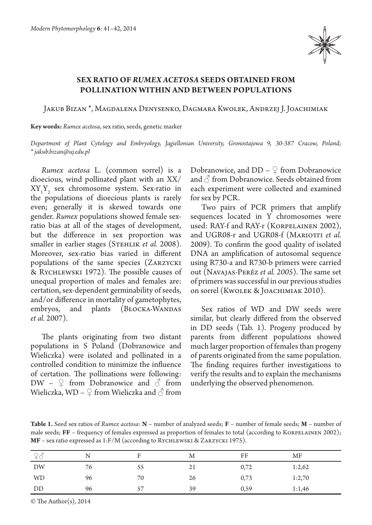

## **SEX RATIO OF** *RUMEX ACETOSA* **SEEDS OBTAINED FROM POLLINATION WITHIN AND BETWEEN POPULATIONS**

Jakub Bizan \*, Magdalena Denysenko, Dagmara Kwolek, Andrzej J. Joachimiak

**Key words:** *Rumex acetosa*, sex ratio, seeds, genetic marker

*Department of Plant Cytology and Embryology, Jagiellonian University, Gronostajowa 9, 30-387 Cracow, Poland; \* jakub.bizan@uj.edu.pl*

*Rumex acetosa* L. (common sorrel) is a dioecious, wind pollinated plant with an XX/  $XY_1Y_2$  sex chromosome system. Sex-ratio in the populations of dioecious plants is rarely even; generally it is skewed towards one gender. *Rumex* populations showed female sexratio bias at all of the stages of development, but the difference in sex proportion was smaller in earlier stages (STEHLIK *et al.* 2008). Moreover, sex-ratio bias varied in different populations of the same species (Zarzycki & Rychlewski 1972). The possible causes of unequal proportion of males and females are: certation, sex-dependent germinability of seeds, and/or difference in mortality of gametophytes, embryos, and plants (BŁOCKA-WANDAS *et al.* 2007).

The plants originating from two distant populations in S Poland (Dobranowice and Wieliczka) were isolated and pollinated in a controlled condition to minimize the influence of certation. The pollinations were following: DW –  $\mathcal{Q}$  from Dobranowice and  $\hat{\circ}$  from Wieliczka, WD –  $\mathcal{Q}$  from Wieliczka and  $\mathcal{O}$  from

Dobranowice, and DD –  $\mathcal{Q}$  from Dobranowice and  $\beta$  from Dobranowice. Seeds obtained from each experiment were collected and examined for sex by PCR.

Two pairs of PCR primers that amplify sequences located in Y chromosomes were used: RAY-f and RAY-r (Korpelainen 2002), and UGR08-r and UGR08-f (MARIOTTI et al. 2009). To confirm the good quality of isolated DNA an amplification of autosomal sequence using R730-a and R730-b primers were carried out (Navajas-Peréz *et al. 2005*). The same set of primers was successful in our previous studies on sorrel (Kwolek & Joachimiak 2010).

Sex ratios of WD and DW seeds were similar, but clearly differed from the observed in DD seeds (Tab. 1). Progeny produced by parents from different populations showed much larger proportion of females than progeny of parents originated from the same population. The finding requires further investigations to verify the results and to explain the mechanisms underlying the observed phenomenon.

**Table 1.** Seed sex ratios of *Rumex acetosa*: **N** – number of analyzed seeds; **F** – number of female seeds; **M** – number of male seeds; FF – frequency of females expressed as proportion of females to total (according to KORPELAINEN 2002); **MF** – sex ratio expressed as 1:F/M (according to Rychlewski & Zarzycki 1975).

|           |    | Е  | M  | FF   | MF     |
|-----------|----|----|----|------|--------|
| DW        | 76 | 55 | 21 | 0,72 | 1:2,62 |
| <b>WD</b> | 96 | 70 | 26 | 0,73 | 1:2,70 |
| DD        | 96 | 57 | 39 | 0,59 | 1:1,46 |

© The Author(s), 2014